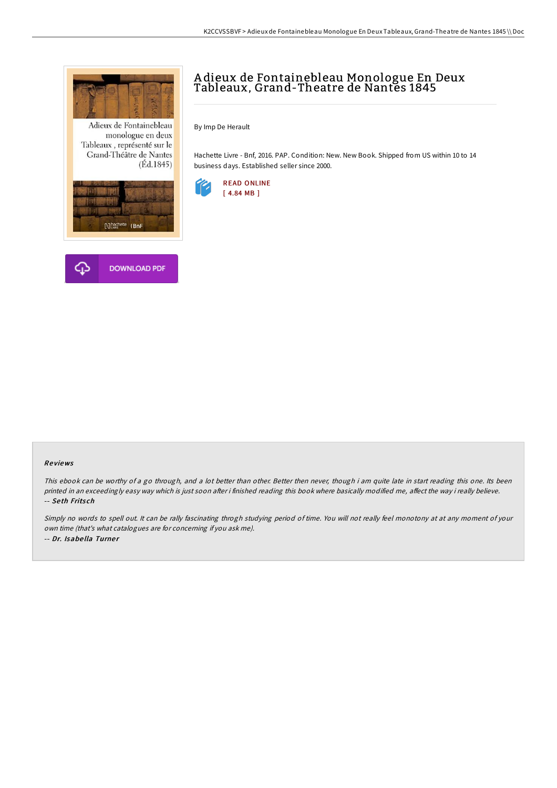

Adieux de Fontainebleau monologue en deux Tableaux, représenté sur le Grand-Théâtre de Nantes  $(Ed.1845)$ 





## A dieux de Fontainebleau Monologue En Deux Tableaux, Grand-Theatre de Nantes 1845

By Imp De Herault

Hachette Livre - Bnf, 2016. PAP. Condition: New. New Book. Shipped from US within 10 to 14 business days. Established seller since 2000.



## Re views

This ebook can be worthy of <sup>a</sup> go through, and <sup>a</sup> lot better than other. Better then never, though i am quite late in start reading this one. Its been printed in an exceedingly easy way which is just soon after i finished reading this book where basically modified me, affect the way i really believe. -- Se th Frits ch

Simply no words to spell out. It can be rally fascinating throgh studying period of time. You will not really feel monotony at at any moment of your own time (that's what catalogues are for concerning if you ask me). -- Dr. Isabe lla Turne <sup>r</sup>